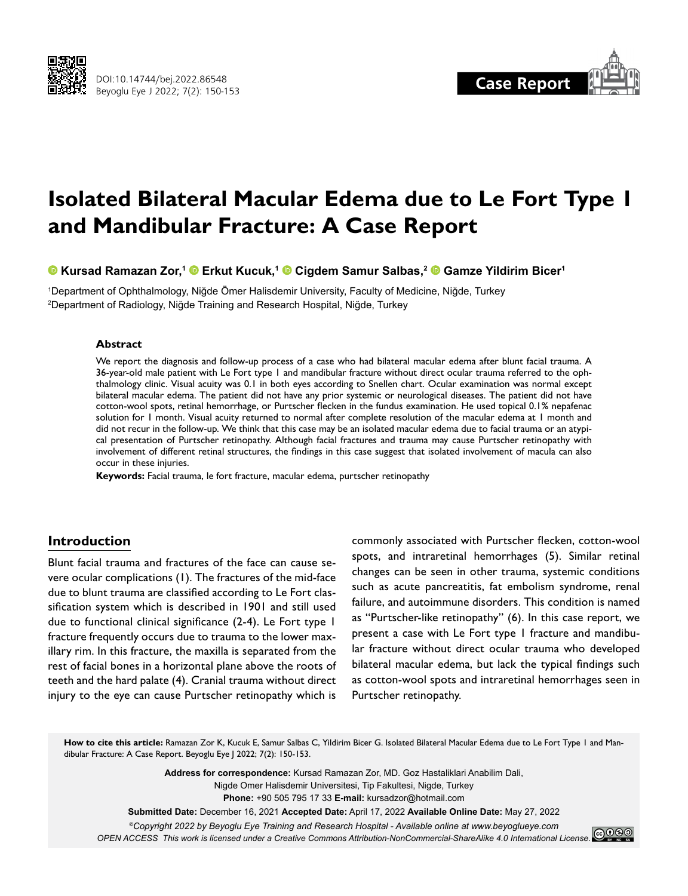



# **Isolated Bilateral Macular Edema due to Le Fort Type 1 and Mandibular Fracture: A Case Report**

**Kursad Ramazan Zor,1Erkut Kucuk,1Cigdem Samur Salbas,2Gamze Yildirim Bicer1**

1 Department of Ophthalmology, Niğde Ömer Halisdemir University, Faculty of Medicine, Niğde, Turkey 2 Department of Radiology, Niğde Training and Research Hospital, Niğde, Turkey

#### **Abstract**

We report the diagnosis and follow-up process of a case who had bilateral macular edema after blunt facial trauma. A 36-year-old male patient with Le Fort type 1 and mandibular fracture without direct ocular trauma referred to the ophthalmology clinic. Visual acuity was 0.1 in both eyes according to Snellen chart. Ocular examination was normal except bilateral macular edema. The patient did not have any prior systemic or neurological diseases. The patient did not have cotton-wool spots, retinal hemorrhage, or Purtscher flecken in the fundus examination. He used topical 0.1% nepafenac solution for 1 month. Visual acuity returned to normal after complete resolution of the macular edema at 1 month and did not recur in the follow-up. We think that this case may be an isolated macular edema due to facial trauma or an atypical presentation of Purtscher retinopathy. Although facial fractures and trauma may cause Purtscher retinopathy with involvement of different retinal structures, the findings in this case suggest that isolated involvement of macula can also occur in these injuries.

**Keywords:** Facial trauma, le fort fracture, macular edema, purtscher retinopathy

## **Introduction**

Blunt facial trauma and fractures of the face can cause severe ocular complications (1). The fractures of the mid-face due to blunt trauma are classified according to Le Fort classification system which is described in 1901 and still used due to functional clinical significance (2-4). Le Fort type 1 fracture frequently occurs due to trauma to the lower maxillary rim. In this fracture, the maxilla is separated from the rest of facial bones in a horizontal plane above the roots of teeth and the hard palate (4). Cranial trauma without direct injury to the eye can cause Purtscher retinopathy which is

commonly associated with Purtscher flecken, cotton-wool spots, and intraretinal hemorrhages (5). Similar retinal changes can be seen in other trauma, systemic conditions such as acute pancreatitis, fat embolism syndrome, renal failure, and autoimmune disorders. This condition is named as "Purtscher-like retinopathy" (6). In this case report, we present a case with Le Fort type 1 fracture and mandibular fracture without direct ocular trauma who developed bilateral macular edema, but lack the typical findings such as cotton-wool spots and intraretinal hemorrhages seen in Purtscher retinopathy.

**How to cite this article:** Ramazan Zor K, Kucuk E, Samur Salbas C, Yildirim Bicer G. Isolated Bilateral Macular Edema due to Le Fort Type 1 and Mandibular Fracture: A Case Report. Beyoglu Eye J 2022; 7(2): 150-153.

> **Address for correspondence:** Kursad Ramazan Zor, MD. Goz Hastaliklari Anabilim Dali, Nigde Omer Halisdemir Universitesi, Tip Fakultesi, Nigde, Turkey **Phone:** +90 505 795 17 33 **E-mail:** kursadzor@hotmail.com

**Submitted Date:** December 16, 2021 **Accepted Date:** April 17, 2022 **Available Online Date:** May 27, 2022

*©Copyright 2022 by Beyoglu Eye Training and Research Hospital - Available online at www.beyoglueye.com OPEN ACCESS This work is licensed under a Creative Commons Attribution-NonCommercial-ShareAlike 4.0 International License.*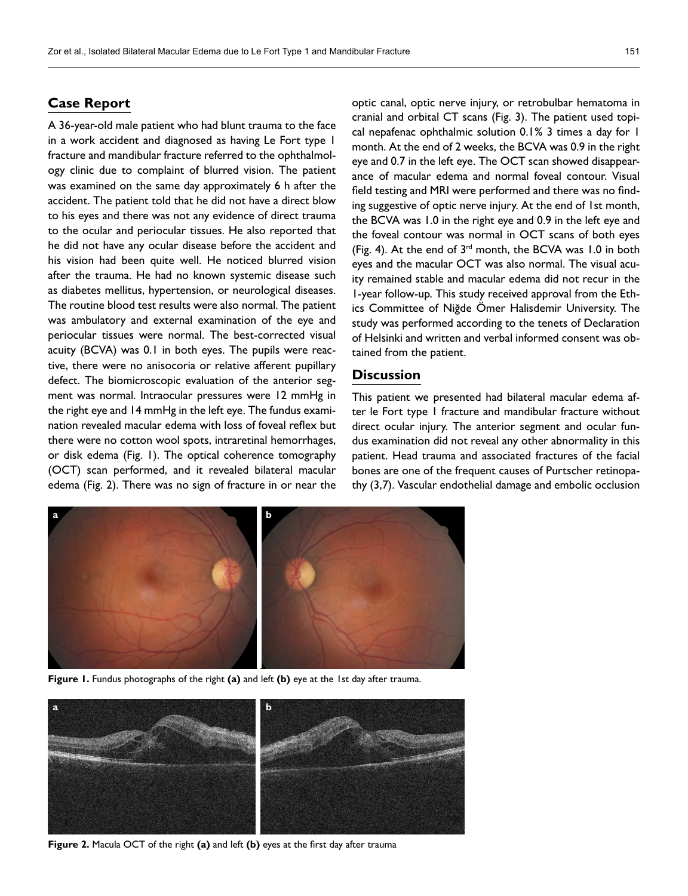## **Case Report**

A 36-year-old male patient who had blunt trauma to the face in a work accident and diagnosed as having Le Fort type 1 fracture and mandibular fracture referred to the ophthalmology clinic due to complaint of blurred vision. The patient was examined on the same day approximately 6 h after the accident. The patient told that he did not have a direct blow to his eyes and there was not any evidence of direct trauma to the ocular and periocular tissues. He also reported that he did not have any ocular disease before the accident and his vision had been quite well. He noticed blurred vision after the trauma. He had no known systemic disease such as diabetes mellitus, hypertension, or neurological diseases. The routine blood test results were also normal. The patient was ambulatory and external examination of the eye and periocular tissues were normal. The best-corrected visual acuity (BCVA) was 0.1 in both eyes. The pupils were reactive, there were no anisocoria or relative afferent pupillary defect. The biomicroscopic evaluation of the anterior segment was normal. Intraocular pressures were 12 mmHg in the right eye and 14 mmHg in the left eye. The fundus examination revealed macular edema with loss of foveal reflex but there were no cotton wool spots, intraretinal hemorrhages, or disk edema (Fig. 1). The optical coherence tomography (OCT) scan performed, and it revealed bilateral macular edema (Fig. 2). There was no sign of fracture in or near the optic canal, optic nerve injury, or retrobulbar hematoma in cranial and orbital CT scans (Fig. 3). The patient used topical nepafenac ophthalmic solution 0.1% 3 times a day for 1 month. At the end of 2 weeks, the BCVA was 0.9 in the right eye and 0.7 in the left eye. The OCT scan showed disappearance of macular edema and normal foveal contour. Visual field testing and MRI were performed and there was no finding suggestive of optic nerve injury. At the end of 1st month, the BCVA was 1.0 in the right eye and 0.9 in the left eye and the foveal contour was normal in OCT scans of both eyes (Fig. 4). At the end of  $3<sup>rd</sup>$  month, the BCVA was 1.0 in both eyes and the macular OCT was also normal. The visual acuity remained stable and macular edema did not recur in the 1-year follow-up. This study received approval from the Ethics Committee of Niğde Ömer Halisdemir University. The study was performed according to the tenets of Declaration of Helsinki and written and verbal informed consent was obtained from the patient.

#### **Discussion**

This patient we presented had bilateral macular edema after le Fort type 1 fracture and mandibular fracture without direct ocular injury. The anterior segment and ocular fundus examination did not reveal any other abnormality in this patient. Head trauma and associated fractures of the facial bones are one of the frequent causes of Purtscher retinopathy (3,7). Vascular endothelial damage and embolic occlusion



**Figure 1.** Fundus photographs of the right **(a)** and left **(b)** eye at the 1st day after trauma.



**Figure 2.** Macula OCT of the right **(a)** and left **(b)** eyes at the first day after trauma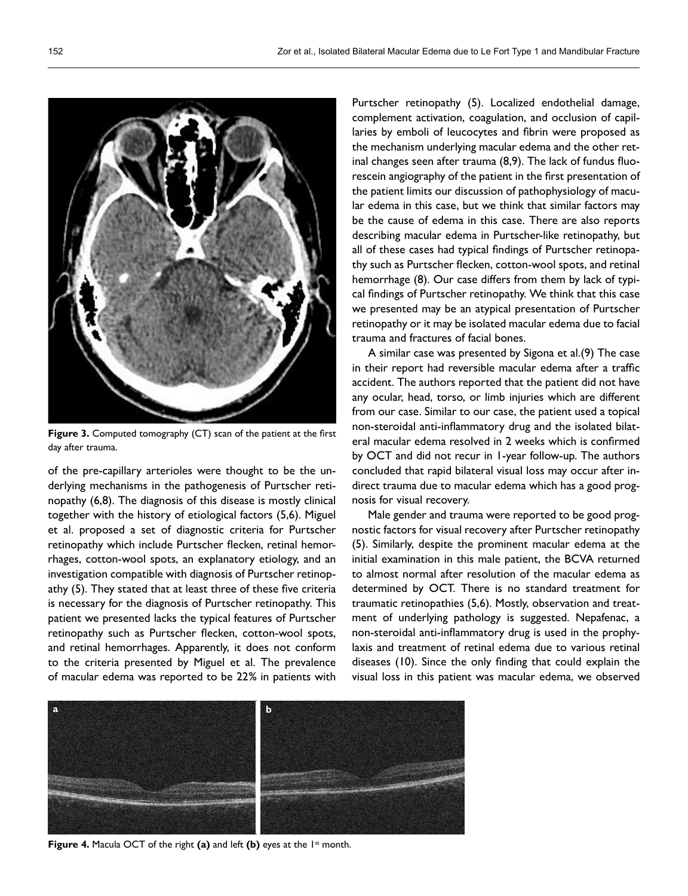

**Figure 3.** Computed tomography (CT) scan of the patient at the first day after trauma.

of the pre-capillary arterioles were thought to be the underlying mechanisms in the pathogenesis of Purtscher retinopathy (6,8). The diagnosis of this disease is mostly clinical together with the history of etiological factors (5,6). Miguel et al. proposed a set of diagnostic criteria for Purtscher retinopathy which include Purtscher flecken, retinal hemorrhages, cotton-wool spots, an explanatory etiology, and an investigation compatible with diagnosis of Purtscher retinopathy (5). They stated that at least three of these five criteria is necessary for the diagnosis of Purtscher retinopathy. This patient we presented lacks the typical features of Purtscher retinopathy such as Purtscher flecken, cotton-wool spots, and retinal hemorrhages. Apparently, it does not conform to the criteria presented by Miguel et al. The prevalence of macular edema was reported to be 22% in patients with

Purtscher retinopathy (5). Localized endothelial damage, complement activation, coagulation, and occlusion of capillaries by emboli of leucocytes and fibrin were proposed as the mechanism underlying macular edema and the other retinal changes seen after trauma (8,9). The lack of fundus fluorescein angiography of the patient in the first presentation of the patient limits our discussion of pathophysiology of macular edema in this case, but we think that similar factors may be the cause of edema in this case. There are also reports describing macular edema in Purtscher-like retinopathy, but all of these cases had typical findings of Purtscher retinopathy such as Purtscher flecken, cotton-wool spots, and retinal hemorrhage (8). Our case differs from them by lack of typical findings of Purtscher retinopathy. We think that this case we presented may be an atypical presentation of Purtscher retinopathy or it may be isolated macular edema due to facial trauma and fractures of facial bones.

A similar case was presented by Sigona et al.(9) The case in their report had reversible macular edema after a traffic accident. The authors reported that the patient did not have any ocular, head, torso, or limb injuries which are different from our case. Similar to our case, the patient used a topical non-steroidal anti-inflammatory drug and the isolated bilateral macular edema resolved in 2 weeks which is confirmed by OCT and did not recur in 1-year follow-up. The authors concluded that rapid bilateral visual loss may occur after indirect trauma due to macular edema which has a good prognosis for visual recovery.

Male gender and trauma were reported to be good prognostic factors for visual recovery after Purtscher retinopathy (5). Similarly, despite the prominent macular edema at the initial examination in this male patient, the BCVA returned to almost normal after resolution of the macular edema as determined by OCT. There is no standard treatment for traumatic retinopathies (5,6). Mostly, observation and treatment of underlying pathology is suggested. Nepafenac, a non-steroidal anti-inflammatory drug is used in the prophylaxis and treatment of retinal edema due to various retinal diseases (10). Since the only finding that could explain the visual loss in this patient was macular edema, we observed



**Figure 4.** Macula OCT of the right (a) and left (b) eyes at the 1<sup>st</sup> month.